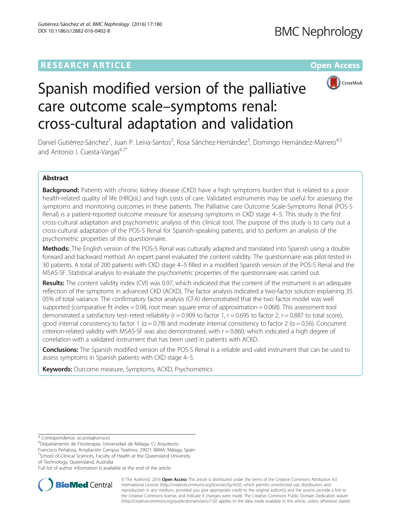# **RESEARCH ARTICLE Example 2014 12:30 The Contract of Contract ACCESS**



# Spanish modified version of the palliative care outcome scale–symptoms renal: cross-cultural adaptation and validation

Daniel Gutiérrez-Sánchez<sup>1</sup>, Juan P. Leiva-Santos<sup>2</sup>, Rosa Sánchez-Hernández<sup>3</sup>, Domingo Hernández-Marrero<sup>4,5</sup> and Antonio I. Cuesta-Vargas<sup>6,7\*</sup>

# Abstract

Background: Patients with chronic kidney disease (CKD) have a high symptoms burden that is related to a poor health-related quality of life (HRQoL) and high costs of care. Validated instruments may be useful for assessing the symptoms and monitoring outcomes in these patients. The Palliative care Outcome Scale-Symptoms Renal (POS-S Renal) is a patient-reported outcome measure for assessing symptoms in CKD stage 4–5. This study is the first cross-cultural adaptation and psychometric analysis of this clinical tool. The purpose of this study is to carry out a cross-cultural adaptation of the POS-S Renal for Spanish-speaking patients, and to perform an analysis of the psychometric properties of this questionnaire.

Methods: The English version of the POS-S Renal was culturally adapted and translated into Spanish using a double forward and backward method. An expert panel evaluated the content validity. The questionnaire was pilot-tested in 30 patients. A total of 200 patients with CKD stage 4–5 filled in a modified Spanish version of the POS-S Renal and the MSAS-SF. Statistical analysis to evaluate the psychometric properties of the questionnaire was carried out.

Results: The content validity index (CVI) was 0.97, which indicated that the content of the instrument is an adequate reflection of the symptoms in advanced CKD (ACKD). The factor analysis indicated a two-factor solution explaining 35. 05% of total variance. The confirmatory factor analysis (CFA) demonstrated that the two factor model was well supported (comparative fit index = 0.98, root mean square error of approximation = 0.068). This assessment tool demonstrated a satisfactory test–retest reliability ( $r = 0.909$  to factor 1,  $r = 0.695$  to factor 2,  $r = 0.887$  to total score), good internal consistency to factor 1 ( $\alpha$  = 0.78) and moderate internal consistency to factor 2 ( $\alpha$  = 0.56). Concurrent criterion-related validity with MSAS-SF was also demonstrated, with  $r = 0.860$ , which indicated a high degree of correlation with a validated instrument that has been used in patients with ACKD.

**Conclusions:** The Spanish modified version of the POS-S Renal is a reliable and valid instrument that can be used to assess symptoms in Spanish patients with CKD stage 4–5.

**Keywords:** Outcome measure, Symptoms, ACKD, Psychometrics

Francisco Peñalosa, Ampliación Campus Teatinos, 29071 IBIMA, Málaga, Spain <sup>7</sup>School of Clinical Sciences, Faculty of Health at the Queensland University of Technology, Queensland, Australia

Full list of author information is available at the end of the article



© The Author(s). 2016 **Open Access** This article is distributed under the terms of the Creative Commons Attribution 4.0 International License [\(http://creativecommons.org/licenses/by/4.0/](http://creativecommons.org/licenses/by/4.0/)), which permits unrestricted use, distribution, and reproduction in any medium, provided you give appropriate credit to the original author(s) and the source, provide a link to the Creative Commons license, and indicate if changes were made. The Creative Commons Public Domain Dedication waiver [\(http://creativecommons.org/publicdomain/zero/1.0/](http://creativecommons.org/publicdomain/zero/1.0/)) applies to the data made available in this article, unless otherwise stated.

<sup>\*</sup> Correspondence: [acuesta@uma.es](mailto:acuesta@uma.es) <sup>6</sup>

Departamento de Fisioterapia, Universidad de Málaga, C/ Arquitecto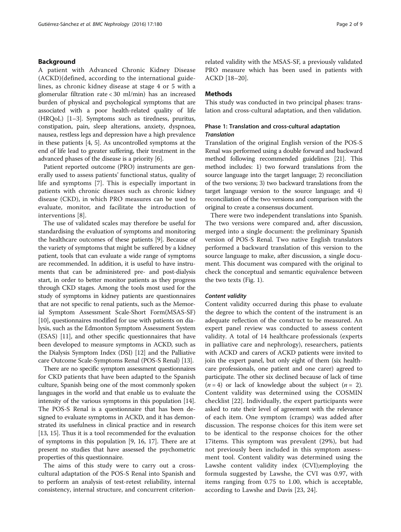# Background

A patient with Advanced Chronic Kidney Disease (ACKD)(defined, according to the international guidelines, as chronic kidney disease at stage 4 or 5 with a glomerular filtration rate < 30 ml/min) has an increased burden of physical and psychological symptoms that are associated with a poor health-related quality of life (HRQoL) [[1](#page-7-0)–[3](#page-7-0)]. Symptoms such as tiredness, pruritus, constipation, pain, sleep alterations, anxiety, dyspnoea, nausea, restless legs and depression have a high prevalence in these patients [\[4, 5](#page-7-0)]. As uncontrolled symptoms at the end of life lead to greater suffering, their treatment in the advanced phases of the disease is a priority [\[6](#page-7-0)].

Patient reported outcome (PRO) instruments are generally used to assess patients' functional status, quality of life and symptoms [[7\]](#page-7-0). This is especially important in patients with chronic diseases such as chronic kidney disease (CKD), in which PRO measures can be used to evaluate, monitor, and facilitate the introduction of interventions [[8\]](#page-7-0).

The use of validated scales may therefore be useful for standardising the evaluation of symptoms and monitoring the healthcare outcomes of these patients [[9](#page-7-0)]. Because of the variety of symptoms that might be suffered by a kidney patient, tools that can evaluate a wide range of symptoms are recommended. In addition, it is useful to have instruments that can be administered pre- and post-dialysis start, in order to better monitor patients as they progress through CKD stages. Among the tools most used for the study of symptoms in kidney patients are questionnaires that are not specific to renal patients, such as the Memorial Symptom Assessment Scale-Short Form(MSAS-SF) [[10](#page-7-0)], questionnaires modified for use with patients on dialysis, such as the Edmonton Symptom Assessment System (ESAS) [[11](#page-7-0)], and other specific questionnaires that have been developed to measure symptoms in ACKD, such as the Dialysis Symptom Index (DSI) [[12](#page-7-0)] and the Palliative care Outcome Scale-Symptoms Renal (POS-S Renal) [[13\]](#page-8-0).

There are no specific symptom assessment questionnaires for CKD patients that have been adapted to the Spanish culture, Spanish being one of the most commonly spoken languages in the world and that enable us to evaluate the intensity of the various symptoms in this population [[14](#page-8-0)]. The POS-S Renal is a questionnaire that has been designed to evaluate symptoms in ACKD, and it has demonstrated its usefulness in clinical practice and in research [[13](#page-8-0), [15](#page-8-0)]. Thus it is a tool recommended for the evaluation of symptoms in this population [[9,](#page-7-0) [16](#page-8-0), [17](#page-8-0)]. There are at present no studies that have assessed the psychometric properties of this questionnaire.

The aims of this study were to carry out a crosscultural adaptation of the POS-S Renal into Spanish and to perform an analysis of test-retest reliability, internal consistency, internal structure, and concurrent criterionrelated validity with the MSAS-SF, a previously validated PRO measure which has been used in patients with ACKD [\[18](#page-8-0)–[20\]](#page-8-0).

# **Methods**

This study was conducted in two principal phases: translation and cross-cultural adaptation, and then validation.

# Phase 1: Translation and cross-cultural adaptation **Translation**

Translation of the original English version of the POS-S Renal was performed using a double forward and backward method following recommended guidelines [\[21\]](#page-8-0). This method includes: 1) two forward translations from the source language into the target language; 2) reconciliation of the two versions; 3) two backward translations from the target language version to the source language; and 4) reconciliation of the two versions and comparison with the original to create a consensus document.

There were two independent translations into Spanish. The two versions were compared and, after discussion, merged into a single document: the preliminary Spanish version of POS-S Renal. Two native English translators performed a backward translation of this version to the source language to make, after discussion, a single document. This document was compared with the original to check the conceptual and semantic equivalence between the two texts (Fig. [1\)](#page-2-0).

#### Content validity

Content validity occurred during this phase to evaluate the degree to which the content of the instrument is an adequate reflection of the construct to be measured. An expert panel review was conducted to assess content validity. A total of 14 healthcare professionals (experts in palliative care and nephrology), researchers, patients with ACKD and carers of ACKD patients were invited to join the expert panel, but only eight of them (six healthcare professionals, one patient and one carer) agreed to participate. The other six declined because of lack of time  $(n = 4)$  or lack of knowledge about the subject  $(n = 2)$ . Content validity was determined using the COSMIN checklist [[22\]](#page-8-0). Individually, the expert participants were asked to rate their level of agreement with the relevance of each item. One symptom (cramps) was added after discussion. The response choices for this item were set to be identical to the response choices for the other 17items. This symptom was prevalent (29%), but had not previously been included in this symptom assessment tool. Content validity was determined using the Lawshe content validity index (CVI);employing the formula suggested by Lawshe, the CVI was 0.97, with items ranging from 0.75 to 1.00, which is acceptable, according to Lawshe and Davis [[23, 24](#page-8-0)].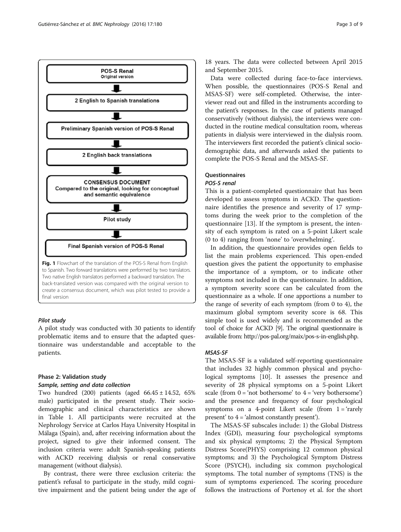<span id="page-2-0"></span>

# Pilot study

A pilot study was conducted with 30 patients to identify problematic items and to ensure that the adapted questionnaire was understandable and acceptable to the patients.

# Phase 2: Validation study

# Sample, setting and data collection

Two hundred (200) patients (aged 66.45 ± 14.52, 65% male) participated in the present study. Their sociodemographic and clinical characteristics are shown in Table [1](#page-3-0). All participants were recruited at the Nephrology Service at Carlos Haya University Hospital in Málaga (Spain), and, after receiving information about the project, signed to give their informed consent. The inclusion criteria were: adult Spanish-speaking patients with ACKD receiving dialysis or renal conservative management (without dialysis).

By contrast, there were three exclusion criteria: the patient's refusal to participate in the study, mild cognitive impairment and the patient being under the age of

18 years. The data were collected between April 2015 and September 2015.

Data were collected during face-to-face interviews. When possible, the questionnaires (POS-S Renal and MSAS-SF) were self-completed. Otherwise, the interviewer read out and filled in the instruments according to the patient's responses. In the case of patients managed conservatively (without dialysis), the interviews were conducted in the routine medical consultation room, whereas patients in dialysis were interviewed in the dialysis room. The interviewers first recorded the patient's clinical sociodemographic data, and afterwards asked the patients to complete the POS-S Renal and the MSAS-SF.

# **Questionnaires**

# POS-S renal

This is a patient-completed questionnaire that has been developed to assess symptoms in ACKD. The questionnaire identifies the presence and severity of 17 symptoms during the week prior to the completion of the questionnaire [[13](#page-8-0)]. If the symptom is present, the intensity of each symptom is rated on a 5-point Likert scale (0 to 4) ranging from 'none' to 'overwhelming'.

In addition, the questionnaire provides open fields to list the main problems experienced. This open-ended question gives the patient the opportunity to emphasise the importance of a symptom, or to indicate other symptoms not included in the questionnaire. In addition, a symptom severity score can be calculated from the questionnaire as a whole. If one apportions a number to the range of severity of each symptom (from 0 to 4), the maximum global symptom severity score is 68. This simple tool is used widely and is recommended as the tool of choice for ACKD [\[9\]](#page-7-0). The original questionnaire is available from: [http://pos-pal.org/maix/pos-s-in-english.php.](http://pos-pal.org/maix/pos-s-in-english.php)

#### MSAS-SF

The MSAS-SF is a validated self-reporting questionnaire that includes 32 highly common physical and psychological symptoms [[10\]](#page-7-0). It assesses the presence and severity of 28 physical symptoms on a 5-point Likert scale (from  $0 = 'not$  bothersome' to  $4 = 'very$  bothersome') and the presence and frequency of four psychological symptoms on a 4-point Likert scale (from  $1 = 'r \text{arely}$ ) present' to  $4 = \text{'almost constantly present'}.$ 

The MSAS-SF subscales include: 1) the Global Distress Index (GDI), measuring four psychological symptoms and six physical symptoms; 2) the Physical Symptom Distress Score(PHYS) comprising 12 common physical symptoms; and 3) the Psychological Symptom Distress Score (PSYCH), including six common psychological symptoms. The total number of symptoms (TNS) is the sum of symptoms experienced. The scoring procedure follows the instructions of Portenoy et al. for the short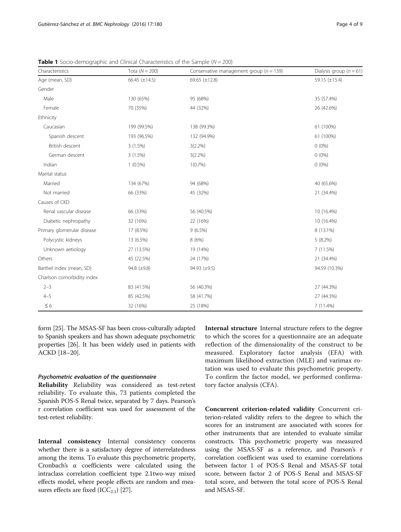| Characteristics            | Tota $(N = 200)$   | Conservative management group ( $n = 139$ ) | Dialysis group ( $n = 61$ ) |
|----------------------------|--------------------|---------------------------------------------|-----------------------------|
| Age (mean, SD)             | 66.45 $(\pm 14.5)$ | 69.65 $(\pm 12.8)$                          | 59.15 $(\pm 15.4)$          |
| Gender                     |                    |                                             |                             |
| Male                       | 130 (65%)          | 95 (68%)                                    | 35 (57.4%)                  |
| Female                     | 70 (35%)           | 44 (32%)                                    | 26 (42.6%)                  |
| Ethnicity                  |                    |                                             |                             |
| Caucasian                  | 199 (99.5%)        | 138 (99.3%)                                 | 61 (100%)                   |
| Spanish descent            | 193 (96.5%)        | 132 (94.9%)                                 | 61 (100%)                   |
| British descent            | 3(1.5%)            | $3(2.2\%)$                                  | $0(0\%)$                    |
| German descent             | 3(1.5%)            | $3(2.2\%)$                                  | $0(0\%)$                    |
| Indian                     | $1(0.5\%)$         | 1(0.7%                                      | $0(0\%)$                    |
| Marital status             |                    |                                             |                             |
| Married                    | 134 (67%)          | 94 (68%)                                    | 40 (65.6%)                  |
| Not married                | 66 (33%)           | 45 (32%)                                    | 21 (34.4%)                  |
| Causes of CKD              |                    |                                             |                             |
| Renal vascular disease     | 66 (33%)           | 56 (40.5%)                                  | 10 (16.4%)                  |
| Diabetic nephropathy       | 32 (16%)           | 22 (16%)                                    | 10 (16.4%)                  |
| Primary glomerular disease | 17 (8.5%)          | $9(6.5\%)$                                  | 8 (13.1%)                   |
| Polycystic kidneys         | 13 (6.5%)          | 8 (6%)                                      | $5(8.2\%)$                  |
| Unknown aetiology          | 27 (13.5%)         | 19 (14%)                                    | 7 (11.5%)                   |
| Others                     | 45 (22.5%)         | 24 (17%)                                    | 21 (34.4%)                  |
| Barthel index (mean, SD)   | 94.8 (±9.8)        | 94.93 (±9.5)                                | 94.59 (10.3%)               |
| Charlson comorbidity index |                    |                                             |                             |
| $2 - 3$                    | 83 (41.5%)         | 56 (40.3%)                                  | 27 (44.3%)                  |
| $4 - 5$                    | 85 (42.5%)         | 58 (41.7%)                                  | 27 (44.3%)                  |
| $\leq 6$                   | 32 (16%)           | 25 (18%)                                    | 7 (11.4%)                   |

<span id="page-3-0"></span>**Table 1** Socio-demographic and Clinical Characteristics of the Sample ( $N = 200$ )

form [[25](#page-8-0)]. The MSAS-SF has been cross-culturally adapted to Spanish speakers and has shown adequate psychometric properties [[26](#page-8-0)]. It has been widely used in patients with ACKD [\[18](#page-8-0)–[20\]](#page-8-0).

### Psychometric evaluation of the questionnaire

Reliability Reliability was considered as test-retest reliability. To evaluate this, 73 patients completed the Spanish POS-S Renal twice, separated by 7 days. Pearson's r correlation coefficient was used for assessment of the test-retest reliability.

Internal consistency Internal consistency concerns whether there is a satisfactory degree of interrelatedness among the items. To evaluate this psychometric property, Cronbach's α coefficients were calculated using the intraclass correlation coefficient type 2.1two-way mixed effects model, where people effects are random and measures effects are fixed  $(ICC_{2,1})$  [[27](#page-8-0)].

Internal structure Internal structure refers to the degree to which the scores for a questionnaire are an adequate reflection of the dimensionality of the construct to be measured. Exploratory factor analysis (EFA) with maximum likelihood extraction (MLE) and varimax rotation was used to evaluate this psychometric property. To confirm the factor model, we performed confirmatory factor analysis (CFA).

Concurrent criterion-related validity Concurrent criterion-related validity refers to the degree to which the scores for an instrument are associated with scores for other instruments that are intended to evaluate similar constructs. This psychometric property was measured using the MSAS-SF as a reference, and Pearson's r correlation coefficient was used to examine correlations between factor 1 of POS-S Renal and MSAS-SF total score, between factor 2 of POS-S Renal and MSAS-SF total score, and between the total score of POS-S Renal and MSAS-SF.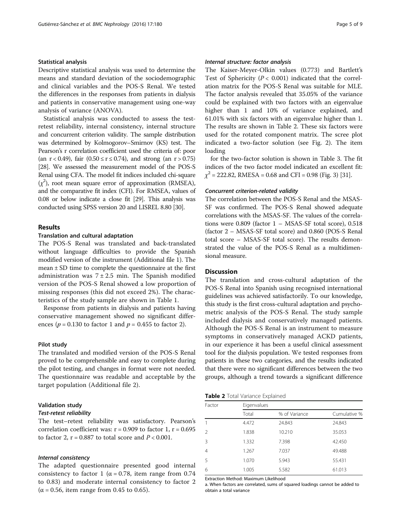#### Statistical analysis

Descriptive statistical analysis was used to determine the means and standard deviation of the sociodemographic and clinical variables and the POS-S Renal. We tested the differences in the responses from patients in dialysis and patients in conservative management using one-way analysis of variance (ANOVA).

Statistical analysis was conducted to assess the testretest reliability, internal consistency, internal structure and concurrent criterion validity. The sample distribution was determined by Kolmogorov–Smirnov (KS) test. The Pearson's r correlation coefficient used the criteria of: poor (an  $r < 0.49$ ), fair ( $0.50 \le r \le 0.74$ ), and strong (an  $r > 0.75$ ) [[28](#page-8-0)]. We assessed the measurement model of the POS-S Renal using CFA. The model fit indices included chi-square  $(\chi^2)$ , root mean square error of approximation (RMSEA), and the comparative fit index (CFI). For RMSEA, values of 0.08 or below indicate a close fit [[29](#page-8-0)]. This analysis was conducted using SPSS version 20 and LISREL 8.80 [\[30\]](#page-8-0).

# Results

#### Translation and cultural adaptation

The POS-S Renal was translated and back-translated without language difficulties to provide the Spanish modified version of the instrument (Additional file [1\)](#page-7-0). The mean ± SD time to complete the questionnaire at the first administration was  $7 \pm 2.5$  min. The Spanish modified version of the POS-S Renal showed a low proportion of missing responses (this did not exceed 2%). The characteristics of the study sample are shown in Table [1.](#page-3-0)

Response from patients in dialysis and patients having conservative management showed no significant differences ( $p = 0.130$  to factor 1 and  $p = 0.455$  to factor 2).

# Pilot study

The translated and modified version of the POS-S Renal proved to be comprehensible and easy to complete during the pilot testing, and changes in format were not needed. The questionnaire was readable and acceptable by the target population (Additional file [2\)](#page-7-0).

#### Validation study

# Test-retest reliability

The test–retest reliability was satisfactory. Pearson's correlation coefficient was:  $r = 0.909$  to factor 1,  $r = 0.695$ to factor 2,  $r = 0.887$  to total score and  $P < 0.001$ .

# Internal consistency

The adapted questionnaire presented good internal consistency to factor 1 ( $\alpha$  = 0.78, item range from 0.74 to 0.83) and moderate internal consistency to factor 2  $(\alpha = 0.56$ , item range from 0.45 to 0.65).

# Internal structure: factor analysis

The Kaiser-Meyer-Olkin values (0.773) and Bartlett's Test of Sphericity  $(P < 0.001)$  indicated that the correlation matrix for the POS-S Renal was suitable for MLE. The factor analysis revealed that 35.05% of the variance could be explained with two factors with an eigenvalue higher than 1 and 10% of variance explained, and 61.01% with six factors with an eigenvalue higher than 1. The results are shown in Table 2. These six factors were used for the rotated component matrix. The scree plot indicated a two-factor solution (see Fig. [2](#page-5-0)). The item loading

for the two-factor solution is shown in Table [3](#page-5-0). The fit indices of the two factor model indicated an excellent fit:  $\chi^2$  = 222.82, RMESA = 0.68 and CFI = 0.98 (Fig. [3\)](#page-6-0) [\[31](#page-8-0)].

#### Concurrent criterion-related validity

The correlation between the POS-S Renal and the MSAS-SF was confirmed. The POS-S Renal showed adequate correlations with the MSAS-SF. The values of the correlations were 0.809 (factor 1 – MSAS-SF total score), 0.518 (factor 2 – MSAS-SF total score) and 0.860 (POS-S Renal total score – MSAS-SF total score). The results demonstrated the value of the POS-S Renal as a multidimensional measure.

# Discussion

The translation and cross-cultural adaptation of the POS-S Renal into Spanish using recognised international guidelines was achieved satisfactorily. To our knowledge, this study is the first cross-cultural adaptation and psychometric analysis of the POS-S Renal. The study sample included dialysis and conservatively managed patients. Although the POS-S Renal is an instrument to measure symptoms in conservatively managed ACKD patients, in our experience it has been a useful clinical assessment tool for the dialysis population. We tested responses from patients in these two categories, and the results indicated that there were no significant differences between the two groups, although a trend towards a significant difference

#### Table 2 Total Variance Explained

| Factor         |       | Eigenvalues   |              |  |  |
|----------------|-------|---------------|--------------|--|--|
|                | Total | % of Variance | Cumulative % |  |  |
|                | 4.472 | 24.843        | 24.843       |  |  |
| $\mathcal{P}$  | 1.838 | 10.210        | 35.053       |  |  |
| ξ              | 1.332 | 7.398         | 42.450       |  |  |
| $\overline{4}$ | 1.267 | 7.037         | 49.488       |  |  |
| 5              | 1.070 | 5.943         | 55.431       |  |  |
| 6              | 1.005 | 5.582         | 61.013       |  |  |

Extraction Method: Maximum Likelihood

a. When factors are correlated, sums of squared loadings cannot be added to obtain a total variance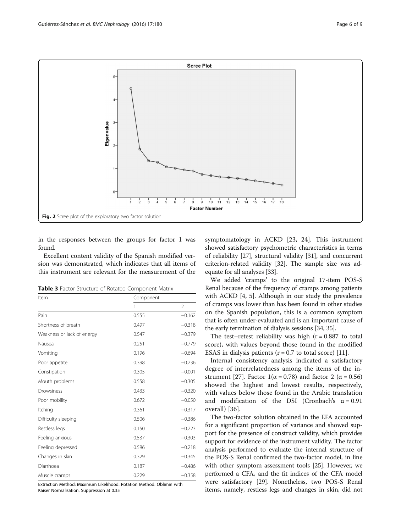<span id="page-5-0"></span>

in the responses between the groups for factor 1 was found.

Excellent content validity of the Spanish modified version was demonstrated, which indicates that all items of this instrument are relevant for the measurement of the

Table 3 Factor Structure of Rotated Component Matrix

| Item                       | Component |                |  |
|----------------------------|-----------|----------------|--|
|                            | 1         | $\overline{2}$ |  |
| Pain                       | 0.555     | $-0.162$       |  |
| Shortness of breath        | 0.497     | $-0.318$       |  |
| Weakness or lack of energy | 0.547     | $-0.379$       |  |
| Nausea                     | 0.251     | $-0.779$       |  |
| Vomiting                   | 0.196     | $-0.694$       |  |
| Poor appetite              | 0.398     | $-0.236$       |  |
| Constipation               | 0.305     | $-0.001$       |  |
| Mouth problems             | 0.558     | $-0.305$       |  |
| Drowsiness                 | 0.433     | $-0.320$       |  |
| Poor mobility              | 0.672     | $-0.050$       |  |
| Itching                    | 0.361     | $-0.317$       |  |
| Difficulty sleeping        | 0.506     | $-0.386$       |  |
| Restless legs              | 0.150     | $-0.223$       |  |
| Feeling anxious            | 0.537     | $-0.303$       |  |
| Feeling depressed          | 0.586     | $-0.218$       |  |
| Changes in skin            | 0.329     | $-0.345$       |  |
| Diarrhoea                  | 0.187     | $-0.486$       |  |
| Muscle cramps              | 0.229     | $-0.358$       |  |

Extraction Method: Maximum Likelihood. Rotation Method: Oblimin with Kaiser Normalisation. Suppression at 0.35

symptomatology in ACKD [\[23](#page-8-0), [24\]](#page-8-0). This instrument showed satisfactory psychometric characteristics in terms of reliability [\[27\]](#page-8-0), structural validity [\[31\]](#page-8-0), and concurrent criterion-related validity [[32](#page-8-0)]. The sample size was adequate for all analyses [[33](#page-8-0)].

We added 'cramps' to the original 17-item POS-S Renal because of the frequency of cramps among patients with ACKD [[4](#page-7-0), [5](#page-7-0)]. Although in our study the prevalence of cramps was lower than has been found in other studies on the Spanish population, this is a common symptom that is often under-evaluated and is an important cause of the early termination of dialysis sessions [[34](#page-8-0), [35\]](#page-8-0).

The test–retest reliability was high  $(r = 0.887)$  to total score), with values beyond those found in the modified ESAS in dialysis patients ( $r = 0.7$  to total score) [\[11](#page-7-0)].

Internal consistency analysis indicated a satisfactory degree of interrelatedness among the items of the in-strument [\[27](#page-8-0)]. Factor  $1(\alpha = 0.78)$  and factor 2 ( $\alpha = 0.56$ ) showed the highest and lowest results, respectively, with values below those found in the Arabic translation and modification of the DSI (Cronbach's  $\alpha = 0.91$ overall) [[36](#page-8-0)].

The two-factor solution obtained in the EFA accounted for a significant proportion of variance and showed support for the presence of construct validity, which provides support for evidence of the instrument validity. The factor analysis performed to evaluate the internal structure of the POS-S Renal confirmed the two-factor model, in line with other symptom assessment tools [\[25](#page-8-0)]. However, we performed a CFA, and the fit indices of the CFA model were satisfactory [[29\]](#page-8-0). Nonetheless, two POS-S Renal items, namely, restless legs and changes in skin, did not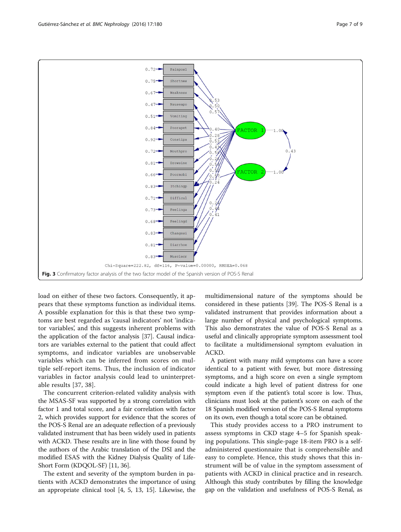<span id="page-6-0"></span>

load on either of these two factors. Consequently, it appears that these symptoms function as individual items. A possible explanation for this is that these two symptoms are best regarded as 'causal indicators' not 'indicator variables', and this suggests inherent problems with the application of the factor analysis [[37](#page-8-0)]. Causal indicators are variables external to the patient that could affect symptoms, and indicator variables are unobservable variables which can be inferred from scores on multiple self-report items. Thus, the inclusion of indicator variables in factor analysis could lead to uninterpretable results [[37, 38](#page-8-0)].

The concurrent criterion-related validity analysis with the MSAS-SF was supported by a strong correlation with factor 1 and total score, and a fair correlation with factor 2, which provides support for evidence that the scores of the POS-S Renal are an adequate reflection of a previously validated instrument that has been widely used in patients with ACKD. These results are in line with those found by the authors of the Arabic translation of the DSI and the modified ESAS with the Kidney Dialysis Quality of Life-Short Form (KDQOL-SF) [[11](#page-7-0), [36\]](#page-8-0).

The extent and severity of the symptom burden in patients with ACKD demonstrates the importance of using an appropriate clinical tool [\[4](#page-7-0), [5,](#page-7-0) [13, 15\]](#page-8-0). Likewise, the

multidimensional nature of the symptoms should be considered in these patients [\[39](#page-8-0)]. The POS-S Renal is a validated instrument that provides information about a large number of physical and psychological symptoms. This also demonstrates the value of POS-S Renal as a useful and clinically appropriate symptom assessment tool to facilitate a multidimensional symptom evaluation in ACKD.

A patient with many mild symptoms can have a score identical to a patient with fewer, but more distressing symptoms, and a high score on even a single symptom could indicate a high level of patient distress for one symptom even if the patient's total score is low. Thus, clinicians must look at the patient's score on each of the 18 Spanish modified version of the POS-S Renal symptoms on its own, even though a total score can be obtained.

This study provides access to a PRO instrument to assess symptoms in CKD stage 4–5 for Spanish speaking populations. This single-page 18-item PRO is a selfadministered questionnaire that is comprehensible and easy to complete. Hence, this study shows that this instrument will be of value in the symptom assessment of patients with ACKD in clinical practice and in research. Although this study contributes by filling the knowledge gap on the validation and usefulness of POS-S Renal, as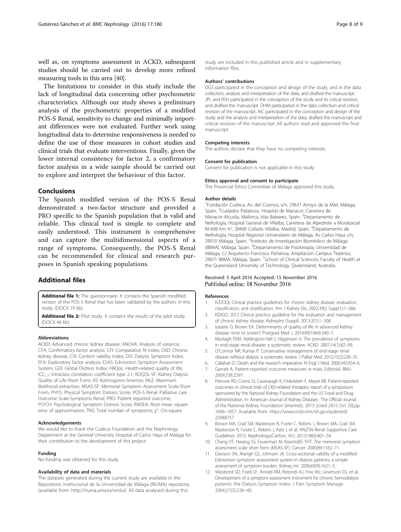<span id="page-7-0"></span>well as, on symptoms assessment in ACKD, subsequent studies should be carried out to develop more refined measuring tools in this area [[40](#page-8-0)].

The limitations to consider in this study include the lack of longitudinal data concerning other psychometric characteristics. Although our study shows a preliminary analysis of the psychometric properties of a modified POS-S Renal, sensitivity to change and minimally important differences were not evaluated. Further work using longitudinal data to determine responsiveness is needed to define the use of these measures in cohort studies and clinical trials that evaluate interventions. Finally, given the lower internal consistency for factor 2, a confirmatory factor analysis in a wide sample should be carried out to explore and interpret the behaviour of this factor.

# Conclusions

The Spanish modified version of the POS-S Renal demonstrated a two-factor structure and provided a PRO specific to the Spanish population that is valid and reliable. This clinical tool is simple to complete and easily understood. This instrument is comprehensive and can capture the multidimensional aspects of a range of symptoms. Consequently, the POS-S Renal can be recommended for clinical and research purposes in Spanish speaking populations.

# Additional files

[Additional file 1:](dx.doi.org/10.1186/s12882-016-0402-8) The questionnaire. It contains the Spanish modified version of the POS-S Renal that has been validated by the authors in this study. (DOCX 19 kb)

[Additional file 2:](dx.doi.org/10.1186/s12882-016-0402-8) Pilot study. It contains the results of the pilot study. (DOCX 46 kb)

#### Abbreviations

ACKD: Advanced chronic kidney disease; ANOVA: Analysis of variance; CFA: Confirmatory factor analysis; CFI: Comparative fit index; CKD: Chronic kidney disease; CVI: Content validity index; DSI: Dialysis Symptom Index; EFA: Exploratory factor analysis; ESAS: Edmonton Symptom Assessment System; GDI: Global Distress Index; HRQoL: Health-related quality of life; ICC2.1: Intraclass correlation coefficient type 2.1; KDQOL-SF: Kidney Dialysis Quality of Life-Short Form; KS: Kolmogorov-Smirnov; MLE: Maximum likelihood extraction; MSAS-SF: Memorial Symptom Assessment Scale-Short Form; PHYS: Physical Symptom Distress Score; POS-S Renal: Palliative care Outcome Scale-Symptoms Renal; PRO: Patient reported outcome; PSYCH: Psychological Symptom Distress Score; RMSEA: Root mean square error of approximation; TNS: Total number of symptoms;  $\chi^2$ : Chi-square

#### Acknowledgements

We would like to thank the Cudeca Foundation and the Nephrology Department at the General University Hospital of Carlos Haya of Málaga for their contribution to the development of this project.

#### Funding

No funding was obtained for this study.

#### Availability of data and materials

The datasets generated during the current study are available in the Repositorio Institucional de la Universidad de Málaga (RIUMA) repository, (available from:<http://riuma.uma.es/xmlui>). All data analysed during this

study are included in this published article and in supplementary information files.

#### Authors' contributions

DGS participated in the conception and design of the study, and in the data collection, analysis and interpretation of the data, and drafted the manuscript. JPL and RSH participated in the conception of the study and its critical revision, and drafted the manuscript. DHM participated in the data collection and critical revision of the manuscript. AIC participated in the conception and design of the study and the analysis and interpretation of the data, drafted the manuscript and critical revision of the manuscript. All authors read and approved the final manuscript.

#### Competing interests

The authors declare that they have no competing interests.

#### Consent for publication

Consent for publication is not applicable in this study.

#### Ethics approval and consent to participate

The Provincial Ethics Committee of Málaga approved this study.

#### Author details

<sup>1</sup> Fundación Cudeca, Av. del Cosmos, s/n, 29631 Arroyo de la Miel, Málaga, Spain. <sup>2</sup>Cuidados Paliativos. Hospital de Manacor, Carretera de Manacor-Alcudia, Mallorca, Islas Baleares, Spain. <sup>3</sup>Departamento de Nefrología, Hospital General de Villalba, Carretera de Alpedrete a Moralzarzal M-608 Km 41, 28400 Collado Villalba, Madrid, Spain. <sup>4</sup> Departamento de Nefrología, Hospital Regional Universitario de Málaga, Av Carlos Haya s/n, 29010 Málaga, Spain. <sup>5</sup>Instituto de Investigación Biomédico de Málaga (IBIMA), Málaga, Spain. <sup>6</sup>Departamento de Fisioterapia, Universidad de Málaga, C/ Arquitecto Francisco Peñalosa, Ampliación Campus Teatinos, 29071 IBIMA, Málaga, Spain. <sup>7</sup>School of Clinical Sciences, Faculty of Health at the Queensland University of Technology, Queensland, Australia.

#### Received: 5 April 2016 Accepted: 15 November 2016 Published online: 18 November 2016

#### References

- 1. K/DOQI. Clinical practice guidelines for chronic kidney disease: evaluation, classification, and stratification. Am J Kidney Dis. 2002;39(2 Suppl1):1–266.
- 2. KDIGO. 2012 Clinical practice guideline for the evaluation and management of chronic kidney disease. KidneyInt (Suppl). 2013;3(1):1–308.
- 3. Iyasere O, Brown EA. Determinants of quality of life in advanced kidney disease: time to screen? Postgrad Med J. 2014;90(1064):340–7.
- 4. Murtagh FEM, Addington-Hall J, Higginson IJ. The prevalence of symptoms in end-stage renal disease: a systematic review. ACKD. 2007;14(1):82–99.
- 5. O'Connor NR, Kumar P. Conservative management of end-stage renal disease without dialysis: a systematic review. J Palliat Med. 2012;15(2):228–35.
- 6. Callahan D. Death and the research imperative. N Engl J Med. 2000;342:654–6. 7. Garratt A. Patient-reported outcome measures in trials, Editorial. BMJ.
- 2009;338:2597.
- 8. Perrone RD, Coons SJ, Cavanaugh K, Finkelstein F, Meyer KB. Patient-reported outcomes in clinical trials of CKD-related therapies: report of a symposium sponsored by the National Kidney Foundation and the US Food and Drug Administration. In: American Journal of Kidney Diseases : The Official Journal of the National Kidney Foundation [Internet]. 2013 [cited 2015 Oct 20].pp. 1046–1057. Available from: [https://www.ncbi.nlm.nih.gov/pubmed/](https://www.ncbi.nlm.nih.gov/pubmed/23988757) [23988757](https://www.ncbi.nlm.nih.gov/pubmed/23988757)
- Brown MA, Crail SM, Masterson R, Foote C, Robins J, Brown MA, Crail SM, Masterson R, Foote C, Robins J, Katz I, et al. ANZSN Renal Supportive Care Guidelines 2013. Nephrology(Carlton, Vic). 2013;18(6):401–54.
- 10. Chang VT, Hwang SS, Feuerman M, KasimisBS THT. The memorial symptom assessment scale short form (MSAS-SF). Cancer. 2000;89:1162–71.
- 11. Davison SN, Jhangri GS, Johnson JA. Cross-sectional validity of a modified Edmonton symptom assessment system in dialysis patients: a simple assessment of symptom burden. Kidney Int. 2006;69(9):1621–5.
- 12. Weisbord SD, Fried LF, Arnold RM, Rotondi AJ, Fine MJ, Levenson DJ, et al. Development of a symptom assessment instrument for chronic hemodialysis patients: the Dialysis Symptom Index. J Pain Symptom Manage. 2004;27(3):226–40.